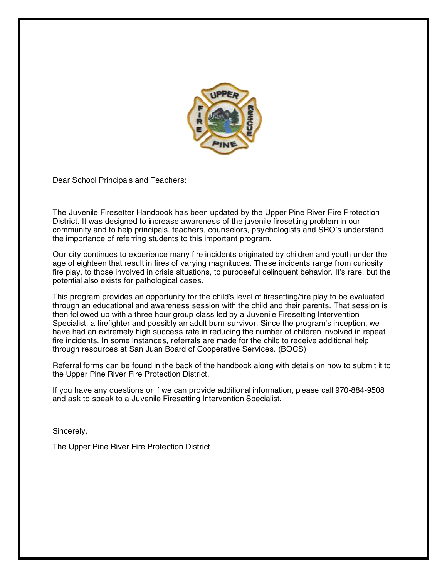

Dear School Principals and Teachers:

The Juvenile Firesetter Handbook has been updated by the Upper Pine River Fire Protection District. It was designed to increase awareness of the juvenile firesetting problem in our community and to help principals, teachers, counselors, psychologists and SRO's understand the importance of referring students to this important program.

Our city continues to experience many fire incidents originated by children and youth under the age of eighteen that result in fires of varying magnitudes. These incidents range from curiosity fire play, to those involved in crisis situations, to purposeful delinquent behavior. It's rare, but the potential also exists for pathological cases.

This program provides an opportunity for the child's level of firesetting/fire play to be evaluated through an educational and awareness session with the child and their parents. That session is then followed up with a three hour group class led by a Juvenile Firesetting Intervention Specialist, a firefighter and possibly an adult burn survivor. Since the program's inception, we have had an extremely high success rate in reducing the number of children involved in repeat fire incidents. In some instances, referrals are made for the child to receive additional help through resources at San Juan Board of Cooperative Services. (BOCS)

Referral forms can be found in the back of the handbook along with details on how to submit it to the Upper Pine River Fire Protection District.

If you have any questions or if we can provide additional information, please call 970-884-9508 and ask to speak to a Juvenile Firesetting Intervention Specialist.

Sincerely,

The Upper Pine River Fire Protection District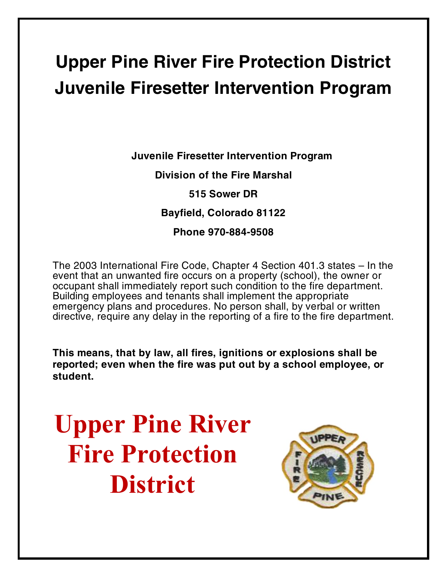## **Upper Pine River Fire Protection District Juvenile Firesetter Intervention Program**

**Juvenile Firesetter Intervention Program Division of the Fire Marshal 515 Sower DR Bayfield, Colorado 81122 Phone 970-884-9508**

The 2003 International Fire Code, Chapter 4 Section 401.3 states – In the event that an unwanted fire occurs on a property (school), the owner or occupant shall immediately report such condition to the fire department. Building employees and tenants shall implement the appropriate emergency plans and procedures. No person shall, by verbal or written directive, require any delay in the reporting of a fire to the fire department.

**This means, that by law, all fires, ignitions or explosions shall be reported; even when the fire was put out by a school employee, or student.**

**Upper Pine River Fire Protection District**

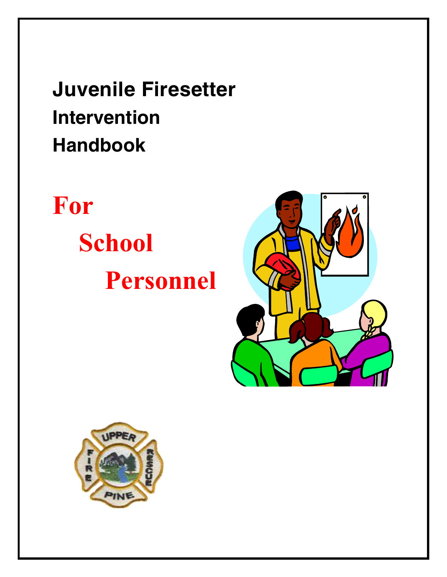**Juvenile Firesetter Intervention Handbook**

# **For School Personnel**



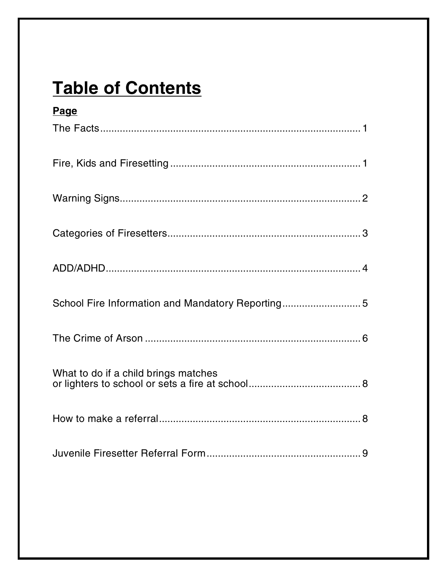## **Table of Contents**

| <b>Page</b>                                      |
|--------------------------------------------------|
|                                                  |
|                                                  |
|                                                  |
|                                                  |
|                                                  |
| School Fire Information and Mandatory Reporting5 |
|                                                  |
| What to do if a child brings matches             |
|                                                  |
|                                                  |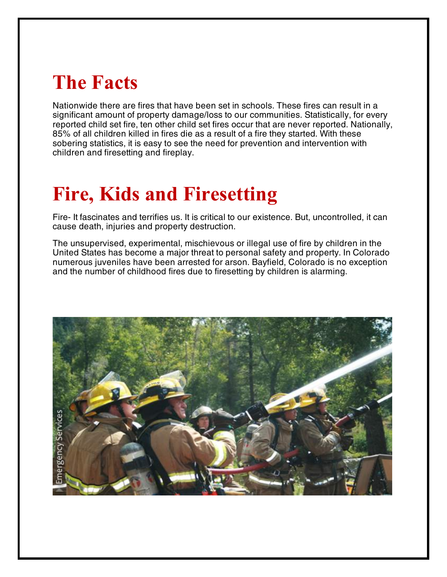## **The Facts**

Nationwide there are fires that have been set in schools. These fires can result in a significant amount of property damage/loss to our communities. Statistically, for every reported child set fire, ten other child set fires occur that are never reported. Nationally, 85% of all children killed in fires die as a result of a fire they started. With these sobering statistics, it is easy to see the need for prevention and intervention with children and firesetting and fireplay.

## **Fire, Kids and Firesetting**

Fire- It fascinates and terrifies us. It is critical to our existence. But, uncontrolled, it can cause death, injuries and property destruction.

The unsupervised, experimental, mischievous or illegal use of fire by children in the United States has become a major threat to personal safety and property. In Colorado numerous juveniles have been arrested for arson. Bayfield, Colorado is no exception and the number of childhood fires due to firesetting by children is alarming.

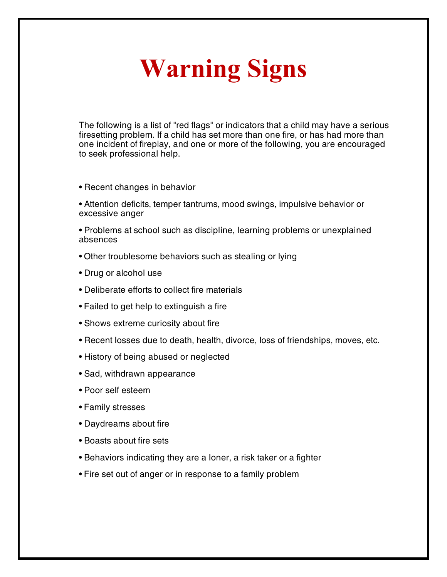# **Warning Signs**

The following is a list of "red flags" or indicators that a child may have a serious firesetting problem. If a child has set more than one fire, or has had more than one incident of fireplay, and one or more of the following, you are encouraged to seek professional help.

- Recent changes in behavior
- Attention deficits, temper tantrums, mood swings, impulsive behavior or excessive anger
- Problems at school such as discipline, learning problems or unexplained absences
- Other troublesome behaviors such as stealing or lying
- Drug or alcohol use
- Deliberate efforts to collect fire materials
- Failed to get help to extinguish a fire
- Shows extreme curiosity about fire
- Recent losses due to death, health, divorce, loss of friendships, moves, etc.
- History of being abused or neglected
- Sad, withdrawn appearance
- Poor self esteem
- Family stresses
- Daydreams about fire
- Boasts about fire sets
- Behaviors indicating they are a loner, a risk taker or a fighter
- Fire set out of anger or in response to a family problem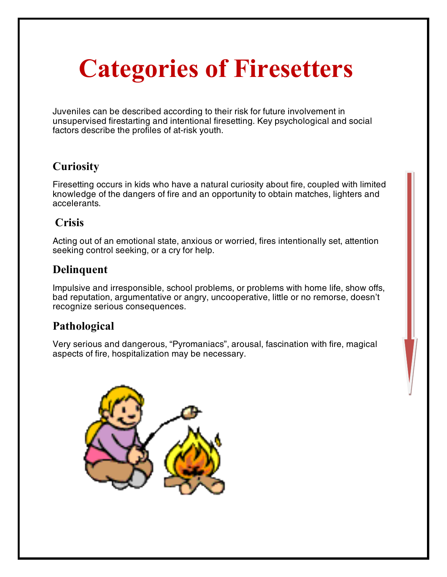# **Categories of Firesetters**

Juveniles can be described according to their risk for future involvement in unsupervised firestarting and intentional firesetting. Key psychological and social factors describe the profiles of at-risk youth.

### **Curiosity**

Firesetting occurs in kids who have a natural curiosity about fire, coupled with limited knowledge of the dangers of fire and an opportunity to obtain matches, lighters and accelerants.

#### **Crisis**

Acting out of an emotional state, anxious or worried, fires intentionally set, attention seeking control seeking, or a cry for help.

### **Delinquent**

Impulsive and irresponsible, school problems, or problems with home life, show offs, bad reputation, argumentative or angry, uncooperative, little or no remorse, doesn't recognize serious consequences.

### **Pathological**

Very serious and dangerous, "Pyromaniacs", arousal, fascination with fire, magical aspects of fire, hospitalization may be necessary.

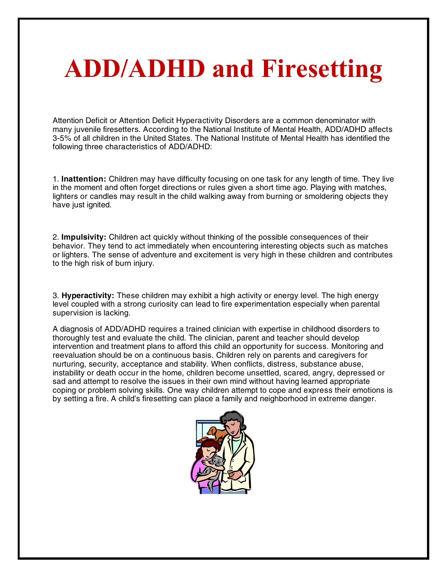# **ADD/ADHD and Firesetting**

Attention Deficit or Attention Deficit Hyperactivity Disorders are a common denominator with many juvenile firesetters. According to the National Institute of Mental Health, ADD/ADHD affects 3-5% of all children in the United States. The National Institute of Mental Health has identified the following three characteristics of ADD/ADHD:

1. **Inattention:** Children may have difficulty focusing on one task for any length of time. They live in the moment and often forget directions or rules given a short time ago. Playing with matches, lighters or candles may result in the child walking away from burning or smoldering objects they have just ignited.

2. **Impulsivity:** Children act quickly without thinking of the possible consequences of their behavior. They tend to act immediately when encountering interesting objects such as matches or lighters. The sense of adventure and excitement is very high in these children and contributes to the high risk of burn injury.

3. **Hyperactivity:** These children may exhibit a high activity or energy level. The high energy level coupled with a strong curiosity can lead to fire experimentation especially when parental supervision is lacking.

A diagnosis of ADD/ADHD requires a trained clinician with expertise in childhood disorders to thoroughly test and evaluate the child. The clinician, parent and teacher should develop intervention and treatment plans to afford this child an opportunity for success. Monitoring and reevaluation should be on a continuous basis. Children rely on parents and caregivers for nurturing, security, acceptance and stability. When conflicts, distress, substance abuse, instability or death occur in the home, children become unsettled, scared, angry, depressed or sad and attempt to resolve the issues in their own mind without having learned appropriate coping or problem solving skills. One way children attempt to cope and express their emotions is by setting a fire. A child's firesetting can place a family and neighborhood in extreme danger.

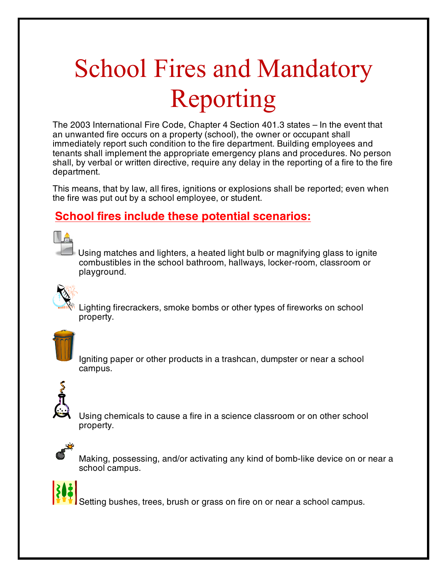# School Fires and Mandatory Reporting

The 2003 International Fire Code, Chapter 4 Section 401.3 states – In the event that an unwanted fire occurs on a property (school), the owner or occupant shall immediately report such condition to the fire department. Building employees and tenants shall implement the appropriate emergency plans and procedures. No person shall, by verbal or written directive, require any delay in the reporting of a fire to the fire department.

This means, that by law, all fires, ignitions or explosions shall be reported; even when the fire was put out by a school employee, or student.

#### **School fires include these potential scenarios:**



Using matches and lighters, a heated light bulb or magnifying glass to ignite combustibles in the school bathroom, hallways, locker-room, classroom or playground.



Lighting firecrackers, smoke bombs or other types of fireworks on school property.



Igniting paper or other products in a trashcan, dumpster or near a school campus.



Using chemicals to cause a fire in a science classroom or on other school property.



Making, possessing, and/or activating any kind of bomb-like device on or near a school campus.



Setting bushes, trees, brush or grass on fire on or near a school campus.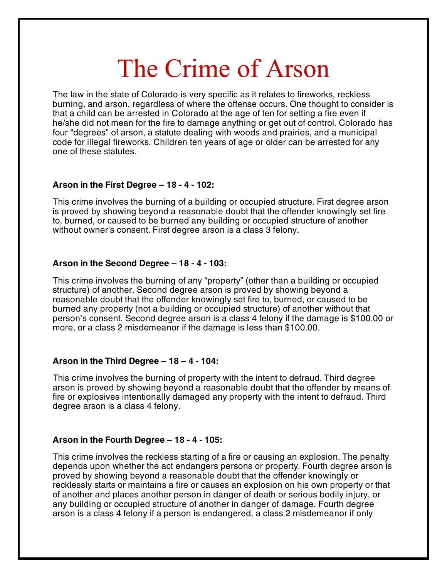## The Crime of Arson

The law in the state of Colorado is very specific as it relates to fireworks, reckless burning, and arson, regardless of where the offense occurs. One thought to consider is that a child can be arrested in Colorado at the age of ten for setting a fire even if he/she did not mean for the fire to damage anything or get out of control. Colorado has four "degrees" of arson, a statute dealing with woods and prairies, and a municipal code for illegal fireworks. Children ten years of age or older can be arrested for any one of these statutes.

#### **Arson in the First Degree – 18 - 4 - 102:**

This crime involves the burning of a building or occupied structure. First degree arson is proved by showing beyond a reasonable doubt that the offender knowingly set fire to, burned, or caused to be burned any building or occupied structure of another without owner's consent. First degree arson is a class 3 felony.

#### **Arson in the Second Degree – 18 - 4 - 103:**

This crime involves the burning of any "property" (other than a building or occupied structure) of another. Second degree arson is proved by showing beyond a reasonable doubt that the offender knowingly set fire to, burned, or caused to be burned any property (not a building or occupied structure) of another without that person's consent. Second degree arson is a class 4 felony if the damage is \$100.00 or more, or a class 2 misdemeanor if the damage is less than \$100.00.

#### **Arson in the Third Degree – 18 – 4 - 104:**

This crime involves the burning of property with the intent to defraud. Third degree arson is proved by showing beyond a reasonable doubt that the offender by means of fire or explosives intentionally damaged any property with the intent to defraud. Third degree arson is a class 4 felony.

#### **Arson in the Fourth Degree – 18 - 4 - 105:**

This crime involves the reckless starting of a fire or causing an explosion. The penalty depends upon whether the act endangers persons or property. Fourth degree arson is proved by showing beyond a reasonable doubt that the offender knowingly or recklessly starts or maintains a fire or causes an explosion on his own property or that of another and places another person in danger of death or serious bodily injury, or any building or occupied structure of another in danger of damage. Fourth degree arson is a class 4 felony if a person is endangered, a class 2 misdemeanor if only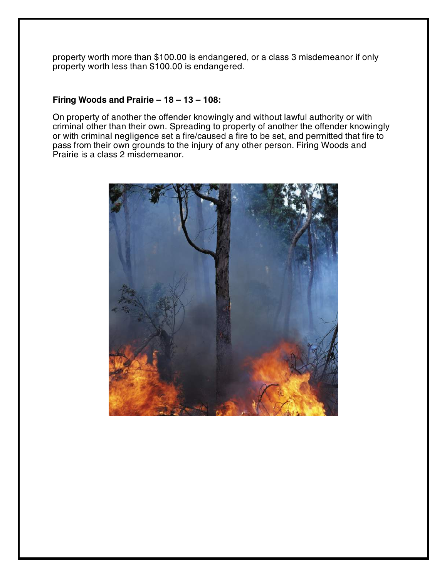property worth more than \$100.00 is endangered, or a class 3 misdemeanor if only property worth less than \$100.00 is endangered.

#### **Firing Woods and Prairie – 18 – 13 – 108:**

On property of another the offender knowingly and without lawful authority or with criminal other than their own. Spreading to property of another the offender knowingly or with criminal negligence set a fire/caused a fire to be set, and permitted that fire to pass from their own grounds to the injury of any other person. Firing Woods and Prairie is a class 2 misdemeanor.

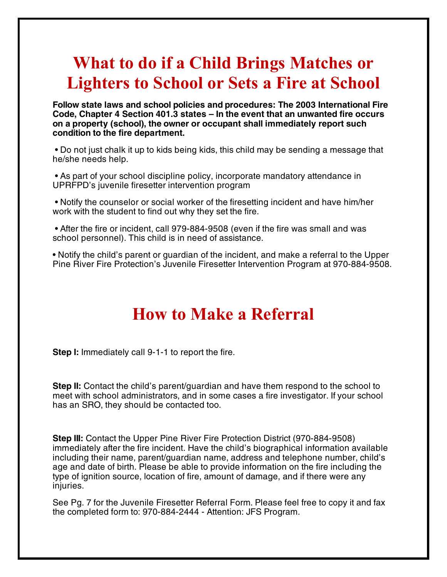### **What to do if a Child Brings Matches or Lighters to School or Sets a Fire at School**

**Follow state laws and school policies and procedures: The 2003 International Fire Code, Chapter 4 Section 401.3 states – In the event that an unwanted fire occurs on a property (school), the owner or occupant shall immediately report such condition to the fire department.** 

• Do not just chalk it up to kids being kids, this child may be sending a message that he/she needs help.

 • As part of your school discipline policy, incorporate mandatory attendance in UPRFPD's juvenile firesetter intervention program

 • Notify the counselor or social worker of the firesetting incident and have him/her work with the student to find out why they set the fire.

 • After the fire or incident, call 979-884-9508 (even if the fire was small and was school personnel). This child is in need of assistance.

• Notify the child's parent or guardian of the incident, and make a referral to the Upper Pine River Fire Protection's Juvenile Firesetter Intervention Program at 970-884-9508.

### **How to Make a Referral**

**Step I:** Immediately call 9-1-1 to report the fire.

**Step II:** Contact the child's parent/guardian and have them respond to the school to meet with school administrators, and in some cases a fire investigator. If your school has an SRO, they should be contacted too.

**Step III:** Contact the Upper Pine River Fire Protection District (970-884-9508) immediately after the fire incident. Have the child's biographical information available including their name, parent/guardian name, address and telephone number, child's age and date of birth. Please be able to provide information on the fire including the type of ignition source, location of fire, amount of damage, and if there were any injuries.

See Pg. 7 for the Juvenile Firesetter Referral Form. Please feel free to copy it and fax the completed form to: 970-884-2444 - Attention: JFS Program.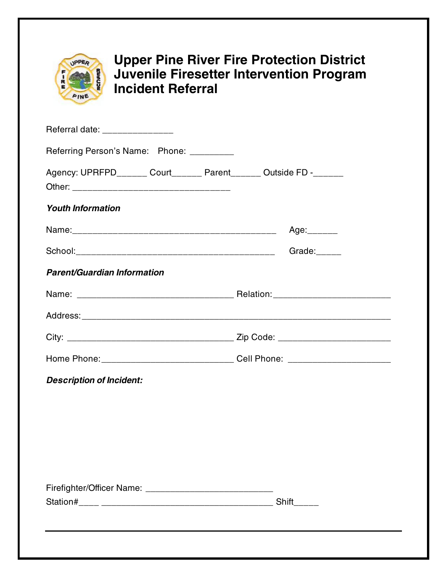

### **Upper Pine River Fire Protection District Juvenile Firesetter Intervention Program Incident Referral**

| Referring Person's Name: Phone: _________                        |
|------------------------------------------------------------------|
| Agency: UPRFPD______ Court______ Parent______ Outside FD -______ |
|                                                                  |
| Age:_______                                                      |
| Grade:                                                           |
|                                                                  |
|                                                                  |
|                                                                  |
|                                                                  |
|                                                                  |
|                                                                  |
|                                                                  |
|                                                                  |
|                                                                  |
|                                                                  |
|                                                                  |
|                                                                  |
|                                                                  |
|                                                                  |